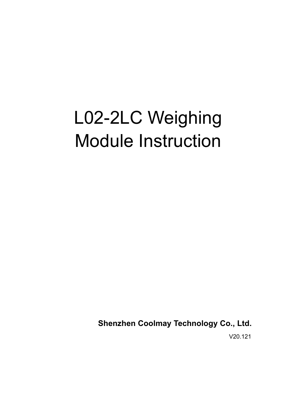# L02-2LC Weighing Module Instruction

**Shenzhen Coolmay Technology Co., Ltd.**

V20.121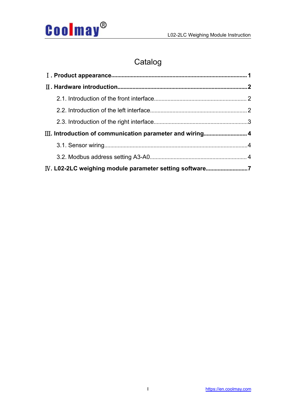

## Catalog

| IV. L02-2LC weighing module parameter setting software7 |  |
|---------------------------------------------------------|--|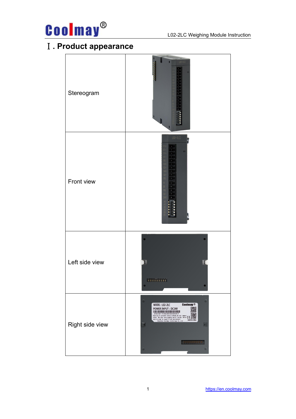

## <span id="page-2-0"></span>Ⅰ**. Product appearance**

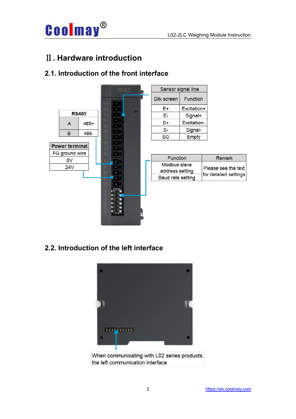

## <span id="page-3-0"></span>Ⅱ**. Hardware introduction**

### <span id="page-3-1"></span>**2.1. Introduction of the front interface**



#### <span id="page-3-2"></span>**2.2. Introduction of the left interface**



When communicating with L02 series products, the left communication interface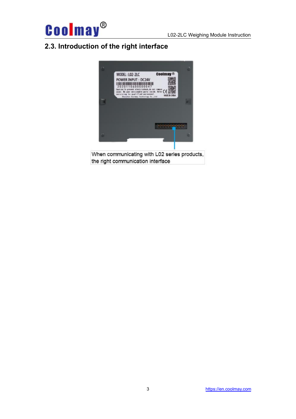

## <span id="page-4-0"></span>**2.3. Introduction of the right interface**



When communicating with L02 series products, the right communication interface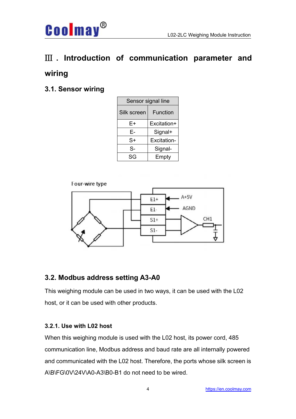<span id="page-5-0"></span>

#### <span id="page-5-1"></span>**3.1. Sensor wiring**

**Coolmay®** 

| Sensor signal line      |             |  |
|-------------------------|-------------|--|
| Silk screen<br>Function |             |  |
| E+                      | Excitation+ |  |
| Е-                      | Signal+     |  |
| $S+$                    | Excitation- |  |
| $S-$                    | Signal-     |  |
| SG                      | Empty       |  |





#### <span id="page-5-2"></span>**3.2. Modbus address setting A3-A0**

This weighing module can be used in two ways, it can be used with the L02 host, or it can be used with other products.

#### **3.2.1. Use with L02 host**

When this weighing module is used with the L02 host, its power cord, 485 communication line, Modbus address and baud rate are all internally powered and communicated with the L02 host. Therefore, the ports whose silk screen is A\B\FG\0V\24V\A0-A3\B0-B1 do not need to be wired.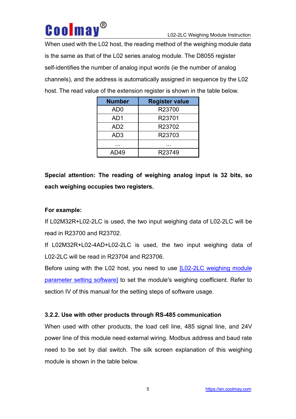

When used with the L02 host, the reading method of the weighing module data is the same as that of the L02 series analog module. The D8055 register self-identifies the number of analog input words (ie the number of analog channels), and the address is automatically assigned in sequence by the L02 host. The read value of the extension register is shown in the table below.

| <b>Number</b>   | <b>Register value</b> |
|-----------------|-----------------------|
| AD <sub>0</sub> | R23700                |
| AD1             | R23701                |
| AD <sub>2</sub> | R23702                |
| AD <sub>3</sub> | R23703                |
| .               | .                     |
| AD49            | R23749                |

**Special attention: The reading of weighing analog input is 32 bits, so each weighing occupies two registers.**

#### **For example:**

If L02M32R+L02-2LC is used, the two input weighing data of L02-2LC will be read in R23700 and R23702.

If L02M32R+L02-4AD+L02-2LC is used, the two input weighing data of L02-2LC will be read in R23704 and R23706.

Before using with the L02 host, you need to use [\[L02-2LC](WeighingModule_L02_2LC) weighing module parameter setting software] to set the module's weighing coefficient. Refer to section IV of this manual for the setting steps of software usage.

#### <span id="page-6-0"></span>**3.2.2. Use with other products through RS-485 communication**

When used with other products, the load cell line, 485 signal line, and 24V power line of this module need external wiring. Modbus address and baud rate need to be set by dial switch. The silk screen explanation of this weighing module is shown in the table below.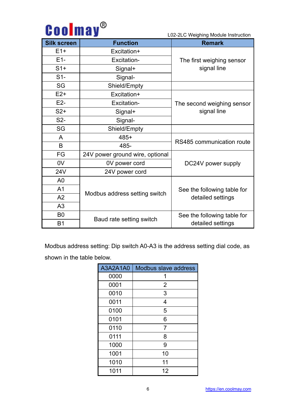|  | <b>Coolmay</b> <sup>®</sup> |
|--|-----------------------------|
|--|-----------------------------|

L02-2LC Weighing Module Instruction

| <b>Silk screen</b> | <b>Function</b>                 | <b>Remark</b>               |  |  |
|--------------------|---------------------------------|-----------------------------|--|--|
| $E1+$              | Excitation+                     |                             |  |  |
| $E1-$              | Excitation-                     | The first weighing sensor   |  |  |
| $S1+$              | Signal+                         | signal line                 |  |  |
| $S1-$              | Signal-                         |                             |  |  |
| SG                 | Shield/Empty                    |                             |  |  |
| $E2+$              | Excitation+                     |                             |  |  |
| $E2-$              | Excitation-                     | The second weighing sensor  |  |  |
| $S2+$              | Signal+                         | signal line                 |  |  |
| S <sub>2</sub>     | Signal-                         |                             |  |  |
| SG                 | Shield/Empty                    |                             |  |  |
| A                  | 485+                            | RS485 communication route   |  |  |
| B                  | 485-                            |                             |  |  |
| <b>FG</b>          | 24V power ground wire, optional |                             |  |  |
| 0 <sub>V</sub>     | 0V power cord                   | DC24V power supply          |  |  |
| 24V                | 24V power cord                  |                             |  |  |
| A <sub>0</sub>     |                                 |                             |  |  |
| A1                 |                                 | See the following table for |  |  |
| A2                 | Modbus address setting switch   | detailed settings           |  |  |
| A3                 |                                 |                             |  |  |
| B <sub>0</sub>     |                                 | See the following table for |  |  |
| <b>B1</b>          | Baud rate setting switch        | detailed settings           |  |  |

Modbus address setting: Dip switch A0-A3 is the address setting dial code, as shown in the table below.

| A3A2A1A0 | Modbus slave address |
|----------|----------------------|
| 0000     | 1                    |
| 0001     | $\overline{2}$       |
| 0010     | 3                    |
| 0011     | 4                    |
| 0100     | 5                    |
| 0101     | 6                    |
| 0110     | 7                    |
| 0111     | 8                    |
| 1000     | 9                    |
| 1001     | 10                   |
| 1010     | 11                   |
| 1011     | 12                   |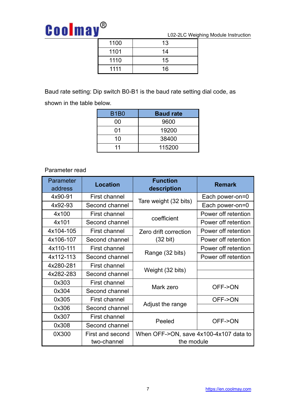## **Coolmay®**

L02-2LC Weighing Module Instruction

| 1100 | 13 |  |
|------|----|--|
| 1101 | 14 |  |
| 1110 | 15 |  |
| 1111 | 16 |  |

Baud rate setting: Dip switch B0-B1 is the baud rate setting dial code, as

| shown in the table below. |             |                  |
|---------------------------|-------------|------------------|
|                           | <b>B1B0</b> | <b>Baud rate</b> |
|                           | 00          | 9600             |
|                           | 01          | 19200            |
|                           | 10          | 38400            |
|                           |             | 115200           |

#### Parameter read

<span id="page-8-0"></span>

| Parameter<br>address | <b>Location</b>  | <b>Function</b><br>description         | <b>Remark</b>       |
|----------------------|------------------|----------------------------------------|---------------------|
| 4x90-91              | First channel    |                                        | Each power-on=0     |
| 4x92-93              | Second channel   | Tare weight (32 bits)                  | Each power-on=0     |
| 4x100                | First channel    |                                        | Power off retention |
| 4x101                | Second channel   | coefficient                            | Power off retention |
| 4x104-105            | First channel    | Zero drift correction                  | Power off retention |
| 4x106-107            | Second channel   | $(32 \text{ bit})$                     | Power off retention |
| 4x110-111            | First channel    |                                        | Power off retention |
| 4x112-113            | Second channel   | Range (32 bits)                        | Power off retention |
| 4x280-281            | First channel    |                                        |                     |
| 4x282-283            | Second channel   | Weight (32 bits)                       |                     |
| 0x303                | First channel    | Mark zero                              | OFF->ON             |
| 0x304                | Second channel   |                                        |                     |
| 0x305                | First channel    |                                        | OFF->ON             |
| 0x306                | Second channel   | Adjust the range                       |                     |
| 0x307                | First channel    | Peeled                                 | OFF->ON             |
| 0x308                | Second channel   |                                        |                     |
| 0X300                | First and second | When OFF->ON, save 4x100-4x107 data to |                     |
|                      | two-channel      | the module                             |                     |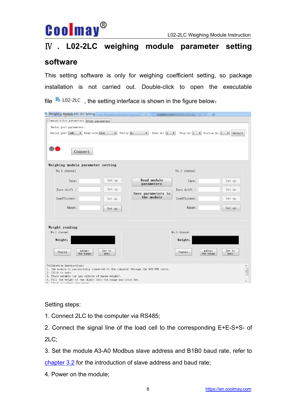

## Ⅳ **. L02-2LC weighing module parameter setting**

### **software**

This setting software is only for weighing coefficient setting, so package installation is not carried out. Double-click to open the executable file  $\frac{R}{20}$  L02-2LC, the setting interface is shown in the figure below:

| Weighing Module L02-2LC Setting                                                                                                                                                                                                                                                             |                      |                                                 |                                |                              |
|---------------------------------------------------------------------------------------------------------------------------------------------------------------------------------------------------------------------------------------------------------------------------------------------|----------------------|-------------------------------------------------|--------------------------------|------------------------------|
| Communication parameters Other parameters                                                                                                                                                                                                                                                   |                      |                                                 |                                |                              |
| Serial port parameters<br>Serial port COM1<br>Baud rate 9600<br>Connect                                                                                                                                                                                                                     | $\blacktriangledown$ | Verify No<br>Data bit $8 - 7$<br>$\blacksquare$ | Stop bit $1 - 8$ Station No. 1 | Default<br>$\blacksquare$    |
| Weighing module parameter setting<br>No. 1 channel                                                                                                                                                                                                                                          |                      |                                                 | No. 2 channel                  |                              |
| Tare:                                                                                                                                                                                                                                                                                       | Set up               | Read module<br>parameters                       | Tare:                          | Set up                       |
| Zero drift :                                                                                                                                                                                                                                                                                | Set up               | Save parameters to<br>the module                | Zero drift :                   | Set up                       |
| Coefficient:<br>Range:                                                                                                                                                                                                                                                                      | Set up<br>Set up     |                                                 | Coefficient:<br>Range:         | Set up<br>Set up             |
|                                                                                                                                                                                                                                                                                             |                      |                                                 |                                |                              |
| Weight reading<br>No. 1 channel                                                                                                                                                                                                                                                             |                      |                                                 | No. 2 channel                  |                              |
| Weight:                                                                                                                                                                                                                                                                                     |                      |                                                 | Weight:                        |                              |
| Adjust<br>Peeled<br>the range                                                                                                                                                                                                                                                               | Set to<br>zero       |                                                 | Adjust<br>Peeled<br>the range  | Set to<br>zero               |
| Calibration instructions:<br>1. The module is successfully connected to the computer through the 485-USB cable.<br>2. Click to zero.<br>3. Place weights (or use objects of known weight).<br>4. Fill the weight of the object into the range and click Set.<br>5 Click to adjust the rence |                      |                                                 |                                | $\blacktriangle$<br>$\equiv$ |

#### Setting steps:

- 1. Connect 2LC to the computer via RS485;
- 2. Connect the signal line of the load cell to the corresponding E+E-S+S- of 2LC;

3. Set the module A3-A0 Modbus slave address and B1B0 baud rate, refer to [chapter](#page-5-2) 3.2 for the introduction of slave address and baud rate;

4. Power on the module;